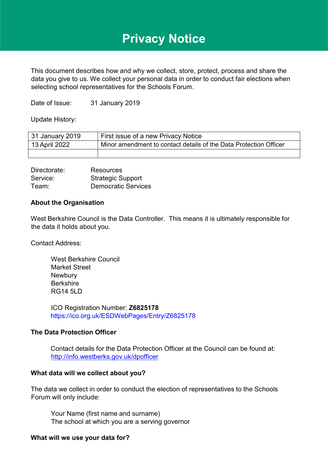# **Privacy Notice**

This document describes how and why we collect, store, protect, process and share the data you give to us. We collect your personal data in order to conduct fair elections when selecting school representatives for the Schools Forum.

Date of Issue: 31 January 2019

Update History:

| 31 January 2019 | First issue of a new Privacy Notice                               |
|-----------------|-------------------------------------------------------------------|
| 13 April 2022   | Minor amendment to contact details of the Data Protection Officer |
|                 |                                                                   |

| Directorate: | Resources                  |
|--------------|----------------------------|
| Service:     | <b>Strategic Support</b>   |
| Team:        | <b>Democratic Services</b> |

## **About the Organisation**

West Berkshire Council is the Data Controller. This means it is ultimately responsible for the data it holds about you.

Contact Address:

West Berkshire Council Market Street **Newbury** Berkshire RG14 5LD

ICO Registration Number: **Z6825178**  <https://ico.org.uk/ESDWebPages/Entry/Z6825178>

#### **The Data Protection Officer**

Contact details for the Data Protection Officer at the Council can be found at: <http://info.westberks.gov.uk/dpofficer>

#### **What data will we collect about you?**

The data we collect in order to conduct the election of representatives to the Schools Forum will only include:

Your Name (first name and surname) The school at which you are a serving governor

#### **What will we use your data for?**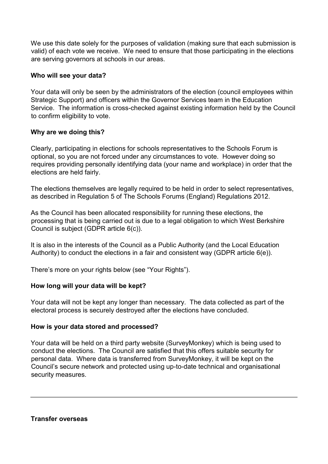We use this date solely for the purposes of validation (making sure that each submission is valid) of each vote we receive. We need to ensure that those participating in the elections are serving governors at schools in our areas.

## **Who will see your data?**

Your data will only be seen by the administrators of the election (council employees within Strategic Support) and officers within the Governor Services team in the Education Service. The information is cross-checked against existing information held by the Council to confirm eligibility to vote.

## **Why are we doing this?**

Clearly, participating in elections for schools representatives to the Schools Forum is optional, so you are not forced under any circumstances to vote. However doing so requires providing personally identifying data (your name and workplace) in order that the elections are held fairly.

The elections themselves are legally required to be held in order to select representatives, as described in Regulation 5 of The Schools Forums (England) Regulations 2012.

As the Council has been allocated responsibility for running these elections, the processing that is being carried out is due to a legal obligation to which West Berkshire Council is subject (GDPR article 6(c)).

It is also in the interests of the Council as a Public Authority (and the Local Education Authority) to conduct the elections in a fair and consistent way (GDPR article 6(e)).

There's more on your rights below (see "Your Rights").

## **How long will your data will be kept?**

Your data will not be kept any longer than necessary. The data collected as part of the electoral process is securely destroyed after the elections have concluded.

## **How is your data stored and processed?**

Your data will be held on a third party website (SurveyMonkey) which is being used to conduct the elections. The Council are satisfied that this offers suitable security for personal data. Where data is transferred from SurveyMonkey, it will be kept on the Council's secure network and protected using up-to-date technical and organisational security measures.

## **Transfer overseas**